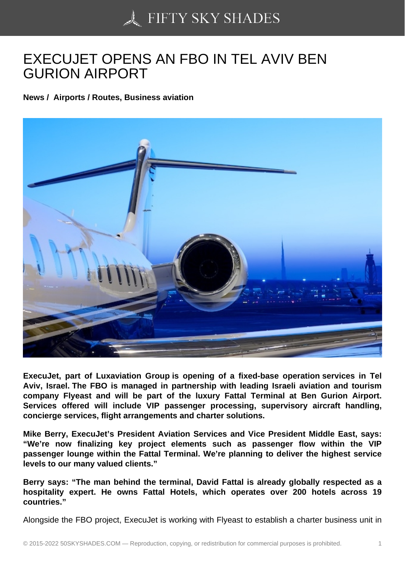## [EXECUJET OPENS AN](https://50skyshades.com) FBO IN TEL AVIV BEN GURION AIRPORT

News / Airports / Routes, Business aviation

ExecuJet, part of Luxaviation Group is opening of a fixed-base operation services in Tel Aviv, Israel. The FBO is managed in partnership with leading Israeli aviation and tourism company Flyeast and will be part of the luxury Fattal Terminal at Ben Gurion Airport. Services offered will include VIP passenger processing, supervisory aircraft handling, concierge services, flight arrangements and charter solutions.

Mike Berry, ExecuJet's President Aviation Services and Vice President Middle East, says: "We're now finalizing key project elements such as passenger flow within the VIP passenger lounge within the Fattal Terminal. We're planning to deliver the highest service levels to our many valued clients."

Berry says: "The man behind the terminal, David Fattal is already globally respected as a hospitality expert. He owns Fattal Hotels, which operates over 200 hotels across 19 countries."

Alongside the FBO project, ExecuJet is working with Flyeast to establish a charter business unit in